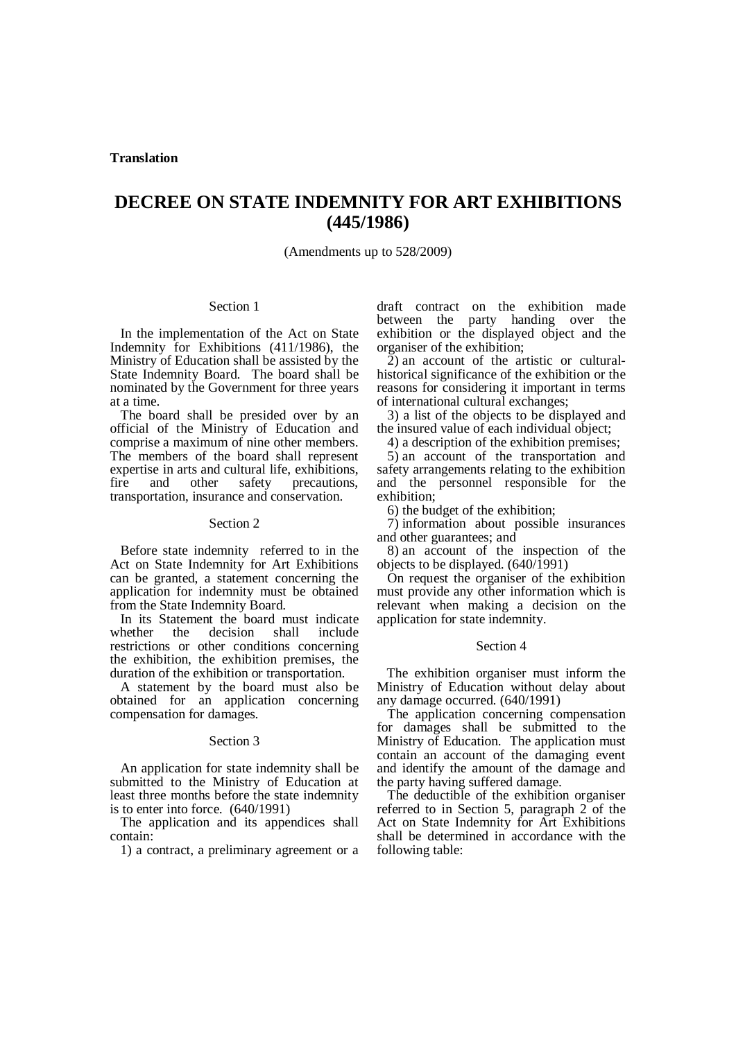# **DECREE ON STATE INDEMNITY FOR ART EXHIBITIONS (445/1986)**

(Amendments up to 528/2009)

## Section 1

In the implementation of the Act on State Indemnity for Exhibitions (411/1986), the Ministry of Education shall be assisted by the State Indemnity Board. The board shall be nominated by the Government for three years at a time.

The board shall be presided over by an official of the Ministry of Education and comprise a maximum of nine other members. The members of the board shall represent expertise in arts and cultural life, exhibitions,<br>fire and other safety precautions and other safety precautions, transportation, insurance and conservation.

### Section 2

Before state indemnity referred to in the Act on State Indemnity for Art Exhibitions can be granted, a statement concerning the application for indemnity must be obtained from the State Indemnity Board.

In its Statement the board must indicate<br>whether the decision shall include decision shall include restrictions or other conditions concerning the exhibition, the exhibition premises, the duration of the exhibition or transportation.

A statement by the board must also be obtained for an application concerning compensation for damages.

#### Section 3

An application for state indemnity shall be submitted to the Ministry of Education at least three months before the state indemnity is to enter into force. (640/1991)

The application and its appendices shall contain:

1) a contract, a preliminary agreement or a

draft contract on the exhibition made between the party handing over the exhibition or the displayed object and the organiser of the exhibition;

2) an account of the artistic or culturalhistorical significance of the exhibition or the reasons for considering it important in terms of international cultural exchanges;

3) a list of the objects to be displayed and the insured value of each individual object;

4) a description of the exhibition premises;

5) an account of the transportation and safety arrangements relating to the exhibition and the personnel responsible for the exhibition;

6) the budget of the exhibition;

7) information about possible insurances and other guarantees; and

8) an account of the inspection of the objects to be displayed.  $(640/1991)$ 

On request the organiser of the exhibition must provide any other information which is relevant when making a decision on the application for state indemnity.

#### Section 4

 The exhibition organiser must inform the Ministry of Education without delay about any damage occurred. (640/1991)

The application concerning compensation for damages shall be submitted to the Ministry of Education. The application must contain an account of the damaging event and identify the amount of the damage and the party having suffered damage.

The deductible of the exhibition organiser referred to in Section 5, paragraph 2 of the Act on State Indemnity for Art Exhibitions shall be determined in accordance with the following table: